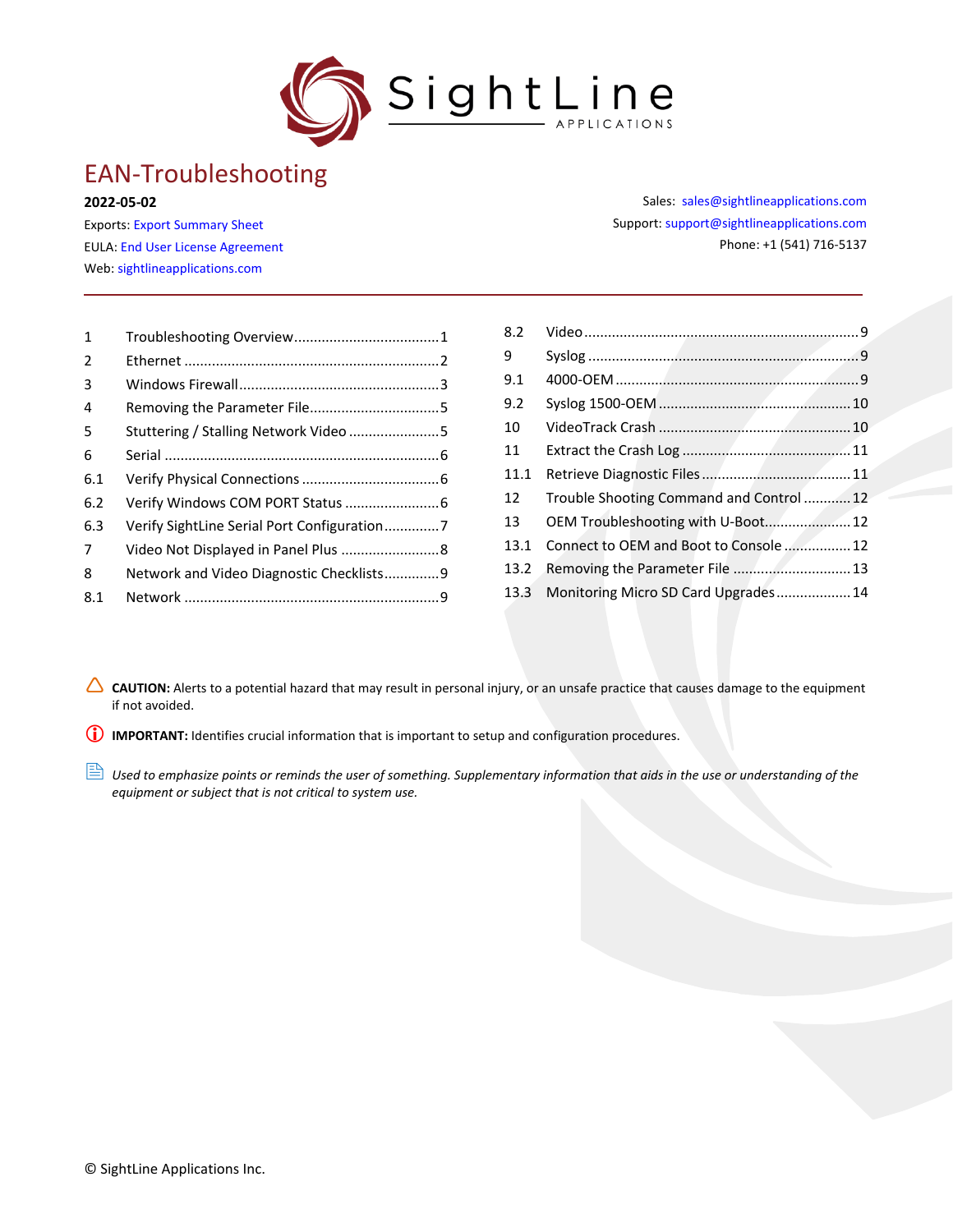

# EAN-Troubleshooting

#### **2022-05-02**

Exports: [Export Summary Sheet](https://sightlineapplications.com/wp-content/uploads/Exports-Summary.pdf) EULA[: End User License Agreement](https://sightlineapplications.com/wp-content/uploads/SightLine-Product-License.pdf) Web[: sightlineapplications.com](https://sightlineapplications.com/)

| $\mathbf{1}$   |                                             |  |
|----------------|---------------------------------------------|--|
| $\overline{2}$ |                                             |  |
| 3              |                                             |  |
| 4              |                                             |  |
| 5              | Stuttering / Stalling Network Video 5       |  |
| 6              |                                             |  |
| 6.1            |                                             |  |
| 6.2            | Verify Windows COM PORT Status  6           |  |
| 6.3            | Verify SightLine Serial Port Configuration7 |  |
| 7              | Video Not Displayed in Panel Plus  8        |  |
| 8              | Network and Video Diagnostic Checklists9    |  |
| 8.1            |                                             |  |

Sales: [sales@sightlineapplications.com](mailto:sales@sightlineapplications.com) Support[: support@sightlineapplications.com](mailto:support@sightlineapplications.com) Phone: +1 (541) 716-5137

| 8.2  |                                          |  |
|------|------------------------------------------|--|
| 9    |                                          |  |
| 9.1  |                                          |  |
| 9.2  |                                          |  |
| 10   |                                          |  |
| 11   |                                          |  |
| 11.1 |                                          |  |
| 12   | Trouble Shooting Command and Control  12 |  |
| 13   | OEM Troubleshooting with U-Boot 12       |  |
| 13.1 | Connect to OEM and Boot to Console  12   |  |
| 13.2 | Removing the Parameter File  13          |  |
| 13.3 | Monitoring Micro SD Card Upgrades 14     |  |

CAUTION: Alerts to a potential hazard that may result in personal injury, or an unsafe practice that causes damage to the equipment if not avoided.

**IMPORTANT:** Identifies crucial information that is important to setup and configuration procedures.

**B** Used to emphasize points or reminds the user of something. Supplementary information that aids in the use or understanding of the *equipment or subject that is not critical to system use.*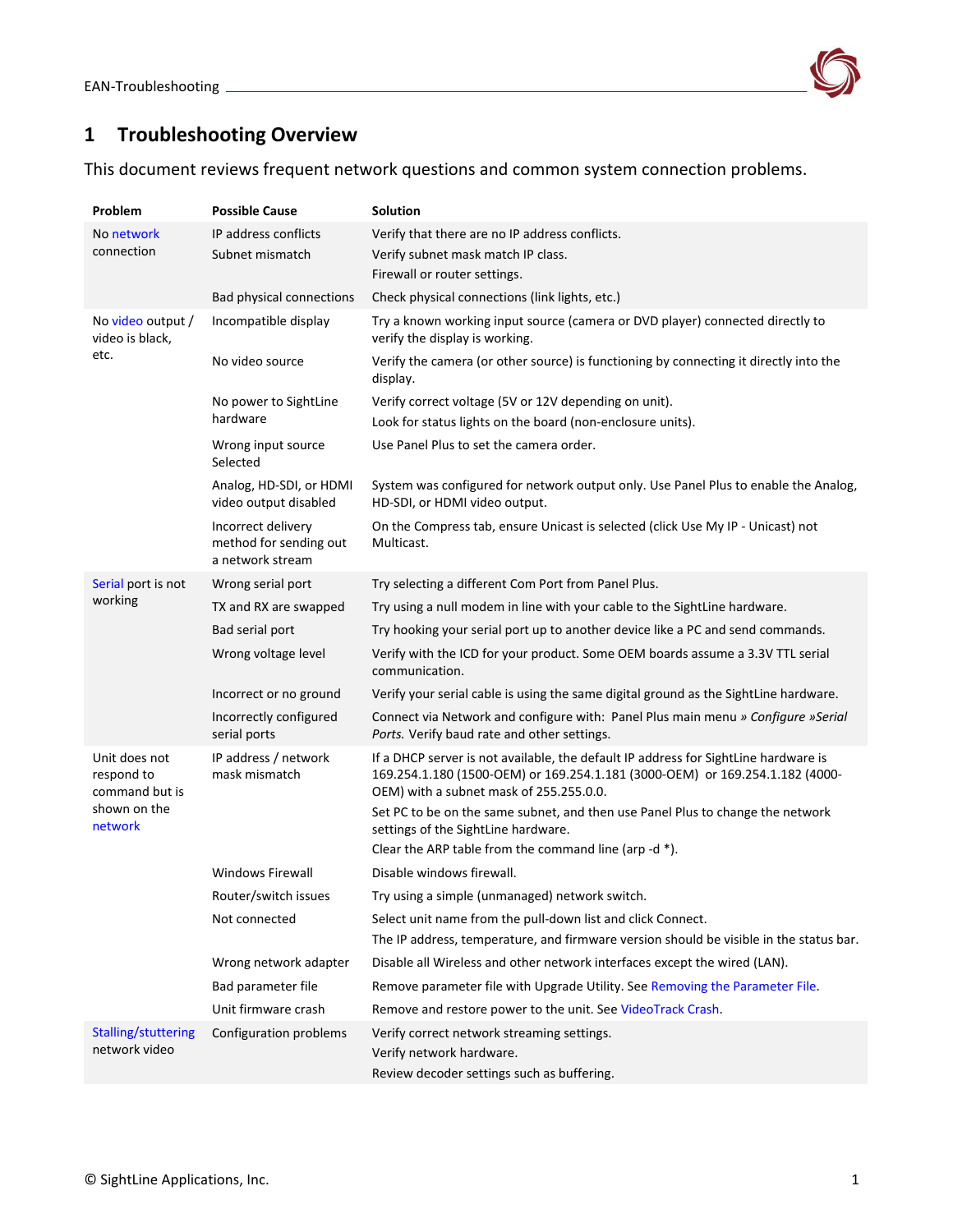

# <span id="page-1-0"></span>**1 Troubleshooting Overview**

This document reviews frequent network questions and common system connection problems.

| Problem                                       | <b>Possible Cause</b>                                            | <b>Solution</b>                                                                                                                                                                                                |
|-----------------------------------------------|------------------------------------------------------------------|----------------------------------------------------------------------------------------------------------------------------------------------------------------------------------------------------------------|
| No network                                    | IP address conflicts                                             | Verify that there are no IP address conflicts.                                                                                                                                                                 |
| connection                                    | Subnet mismatch                                                  | Verify subnet mask match IP class.                                                                                                                                                                             |
|                                               |                                                                  | Firewall or router settings.                                                                                                                                                                                   |
|                                               | <b>Bad physical connections</b>                                  | Check physical connections (link lights, etc.)                                                                                                                                                                 |
| No video output /<br>video is black,          | Incompatible display                                             | Try a known working input source (camera or DVD player) connected directly to<br>verify the display is working.                                                                                                |
| etc.                                          | No video source                                                  | Verify the camera (or other source) is functioning by connecting it directly into the<br>display.                                                                                                              |
|                                               | No power to SightLine                                            | Verify correct voltage (5V or 12V depending on unit).                                                                                                                                                          |
|                                               | hardware                                                         | Look for status lights on the board (non-enclosure units).                                                                                                                                                     |
|                                               | Wrong input source<br>Selected                                   | Use Panel Plus to set the camera order.                                                                                                                                                                        |
|                                               | Analog, HD-SDI, or HDMI<br>video output disabled                 | System was configured for network output only. Use Panel Plus to enable the Analog,<br>HD-SDI, or HDMI video output.                                                                                           |
|                                               | Incorrect delivery<br>method for sending out<br>a network stream | On the Compress tab, ensure Unicast is selected (click Use My IP - Unicast) not<br>Multicast.                                                                                                                  |
| Serial port is not                            | Wrong serial port                                                | Try selecting a different Com Port from Panel Plus.                                                                                                                                                            |
| working                                       | TX and RX are swapped                                            | Try using a null modem in line with your cable to the SightLine hardware.                                                                                                                                      |
|                                               | Bad serial port                                                  | Try hooking your serial port up to another device like a PC and send commands.                                                                                                                                 |
|                                               | Wrong voltage level                                              | Verify with the ICD for your product. Some OEM boards assume a 3.3V TTL serial<br>communication.                                                                                                               |
|                                               | Incorrect or no ground                                           | Verify your serial cable is using the same digital ground as the SightLine hardware.                                                                                                                           |
|                                               | Incorrectly configured<br>serial ports                           | Connect via Network and configure with: Panel Plus main menu » Configure »Serial<br>Ports. Verify baud rate and other settings.                                                                                |
| Unit does not<br>respond to<br>command but is | IP address / network<br>mask mismatch                            | If a DHCP server is not available, the default IP address for SightLine hardware is<br>169.254.1.180 (1500-OEM) or 169.254.1.181 (3000-OEM) or 169.254.1.182 (4000-<br>OEM) with a subnet mask of 255.255.0.0. |
| shown on the<br>network                       |                                                                  | Set PC to be on the same subnet, and then use Panel Plus to change the network<br>settings of the SightLine hardware.                                                                                          |
|                                               |                                                                  | Clear the ARP table from the command line (arp -d *).                                                                                                                                                          |
|                                               | <b>Windows Firewall</b>                                          | Disable windows firewall.                                                                                                                                                                                      |
|                                               | Router/switch issues                                             | Try using a simple (unmanaged) network switch.                                                                                                                                                                 |
|                                               | Not connected                                                    | Select unit name from the pull-down list and click Connect.                                                                                                                                                    |
|                                               |                                                                  | The IP address, temperature, and firmware version should be visible in the status bar.                                                                                                                         |
|                                               | Wrong network adapter                                            | Disable all Wireless and other network interfaces except the wired (LAN).                                                                                                                                      |
|                                               | Bad parameter file                                               | Remove parameter file with Upgrade Utility. See Removing the Parameter File.                                                                                                                                   |
|                                               | Unit firmware crash                                              | Remove and restore power to the unit. See VideoTrack Crash.                                                                                                                                                    |
| Stalling/stuttering<br>network video          | Configuration problems                                           | Verify correct network streaming settings.<br>Verify network hardware.<br>Review decoder settings such as buffering.                                                                                           |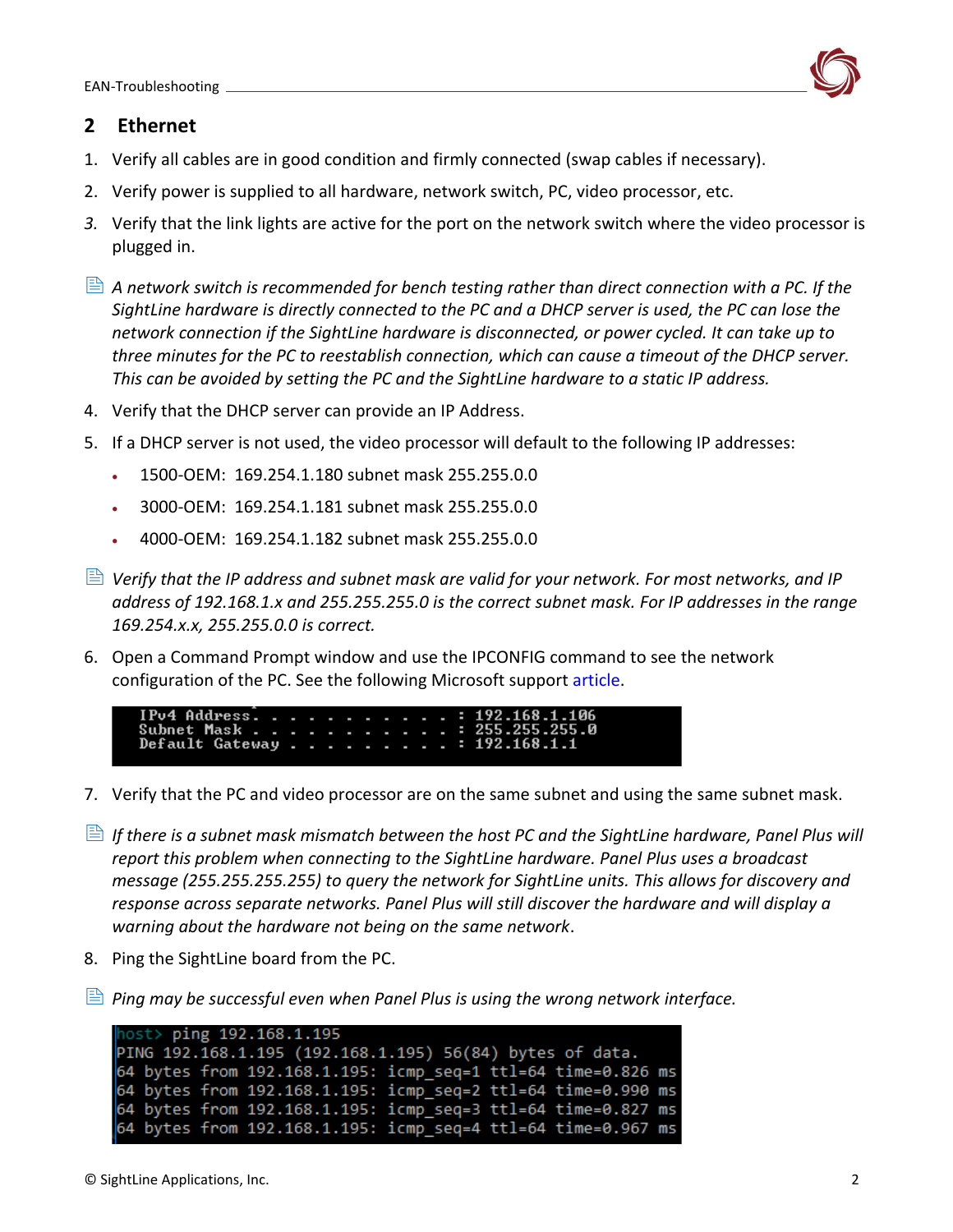

### <span id="page-2-0"></span>**2 Ethernet**

- 1. Verify all cables are in good condition and firmly connected (swap cables if necessary).
- 2. Verify power is supplied to all hardware, network switch, PC, video processor, etc.
- *3.* Verify that the link lights are active for the port on the network switch where the video processor is plugged in.
- *A network switch is recommended for bench testing rather than direct connection with a PC. If the SightLine hardware is directly connected to the PC and a DHCP server is used, the PC can lose the network connection if the SightLine hardware is disconnected, or power cycled. It can take up to three minutes for the PC to reestablish connection, which can cause a timeout of the DHCP server. This can be avoided by setting the PC and the SightLine hardware to a static IP address.*
- 4. Verify that the DHCP server can provide an IP Address.
- 5. If a DHCP server is not used, the video processor will default to the following IP addresses:
	- 1500-OEM: 169.254.1.180 subnet mask 255.255.0.0
	- 3000-OEM: 169.254.1.181 subnet mask 255.255.0.0
	- 4000-OEM: 169.254.1.182 subnet mask 255.255.0.0
- *Verify that the IP address and subnet mask are valid for your network. For most networks, and IP address of 192.168.1.x and 255.255.255.0 is the correct subnet mask. For IP addresses in the range 169.254.x.x, 255.255.0.0 is correct.*
- 6. Open a Command Prompt window and use the IPCONFIG command to see the network configuration of the PC. See the following Microsoft support [article.](https://support.microsoft.com/en-us/windows/find-your-ip-address-in-windows-f21a9bbc-c582-55cd-35e0-73431160a1b9)
	- [Pv4 Address] Subnet Mask . . .<br>Default Gateway . 192.168.1.1
- 7. Verify that the PC and video processor are on the same subnet and using the same subnet mask.
- **If there is a subnet mask mismatch between the host PC and the SightLine hardware, Panel Plus will** *report this problem when connecting to the SightLine hardware. Panel Plus uses a broadcast message (255.255.255.255) to query the network for SightLine units. This allows for discovery and response across separate networks. Panel Plus will still discover the hardware and will display a warning about the hardware not being on the same network*.
- 8. Ping the SightLine board from the PC.
- *Ping may be successful even when Panel Plus is using the wrong network interface.*

```
host> ping 192.168.1.195
PING 192.168.1.195 (192.168.1.195) 56(84) bytes of data.
64 bytes from 192.168.1.195: icmp seq=1 ttl=64 time=0.826 ms
64 bytes from 192.168.1.195: icmp_seq=2 ttl=64 time=0.990 ms
64 bytes from 192.168.1.195: icmp_seq=3 ttl=64 time=0.827 ms
64 bytes from 192.168.1.195: icmp_seq=4 ttl=64 time=0.967 ms
```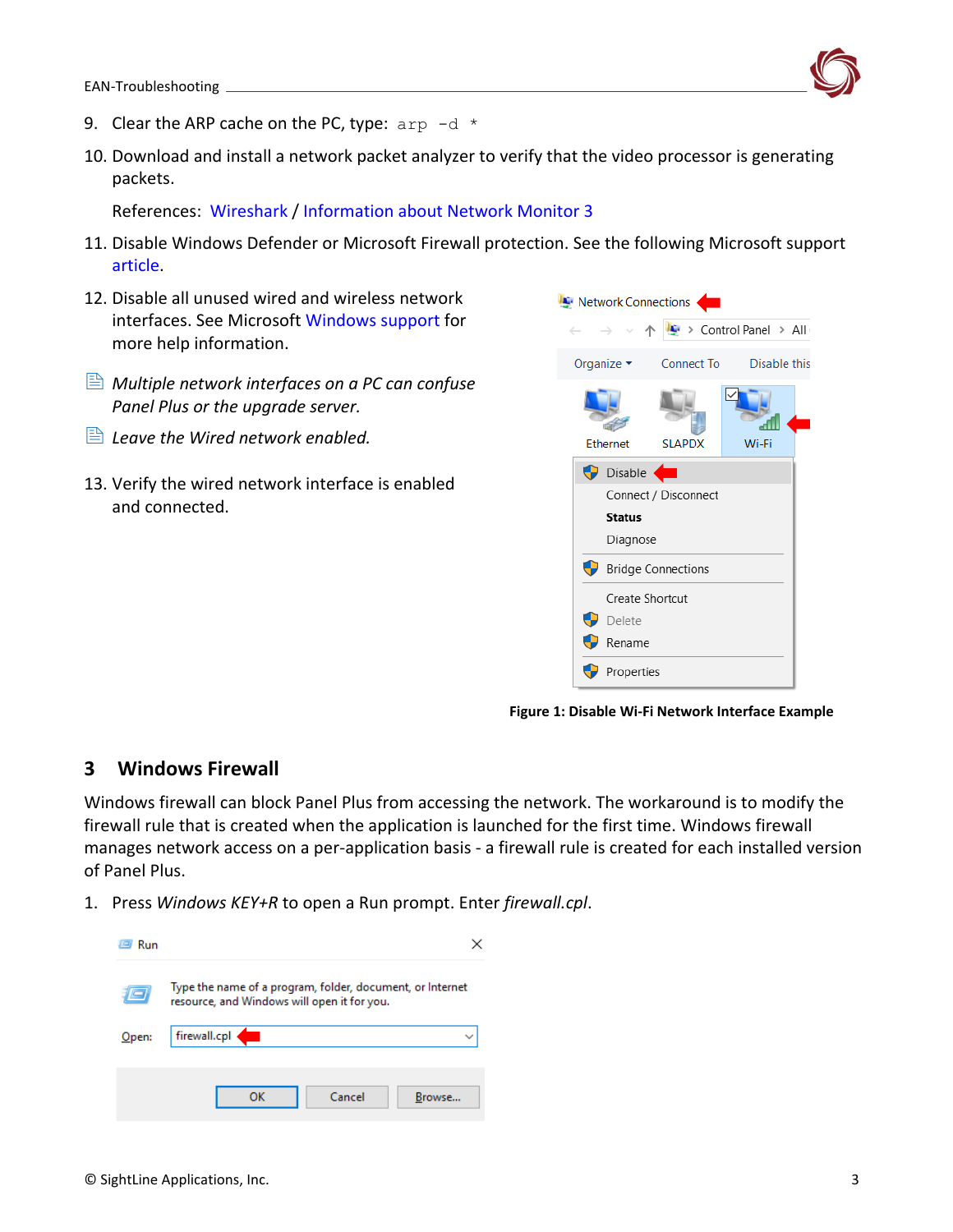

- 9. Clear the ARP cache on the PC, type:  $\text{app } -\text{d} \neq$
- 10. Download and install a network packet analyzer to verify that the video processor is generating packets.

References: [Wireshark](https://www.wireshark.org/) / [Information about Network Monitor 3](https://docs.microsoft.com/en-US/troubleshoot/windows-server/networking/network-monitor-3)

- 11. Disable Windows Defender or Microsoft Firewall protection. See the following Microsoft support [article.](https://support.microsoft.com/en-us/windows/protect-my-pc-from-viruses-b2025ed1-02d5-1e87-ba5f-71999008e026)
- 12. Disable all unused wired and wireless network interfaces. See Microsoft [Windows support](https://support.microsoft.com/en-us/windows?ui=en-US&rs=en-US&ad=US) for more help information.
- *Multiple network interfaces on a PC can confuse Panel Plus or the upgrade server.*
- *Leave the Wired network enabled.*
- 13. Verify the wired network interface is enabled and connected.



**Figure 1: Disable Wi-Fi Network Interface Example**

### <span id="page-3-0"></span>**3 Windows Firewall**

Windows firewall can block Panel Plus from accessing the network. The workaround is to modify the firewall rule that is created when the application is launched for the first time. Windows firewall manages network access on a per-application basis - a firewall rule is created for each installed version of Panel Plus.

1. Press *Windows KEY+R* to open a Run prompt. Enter *firewall.cpl*.

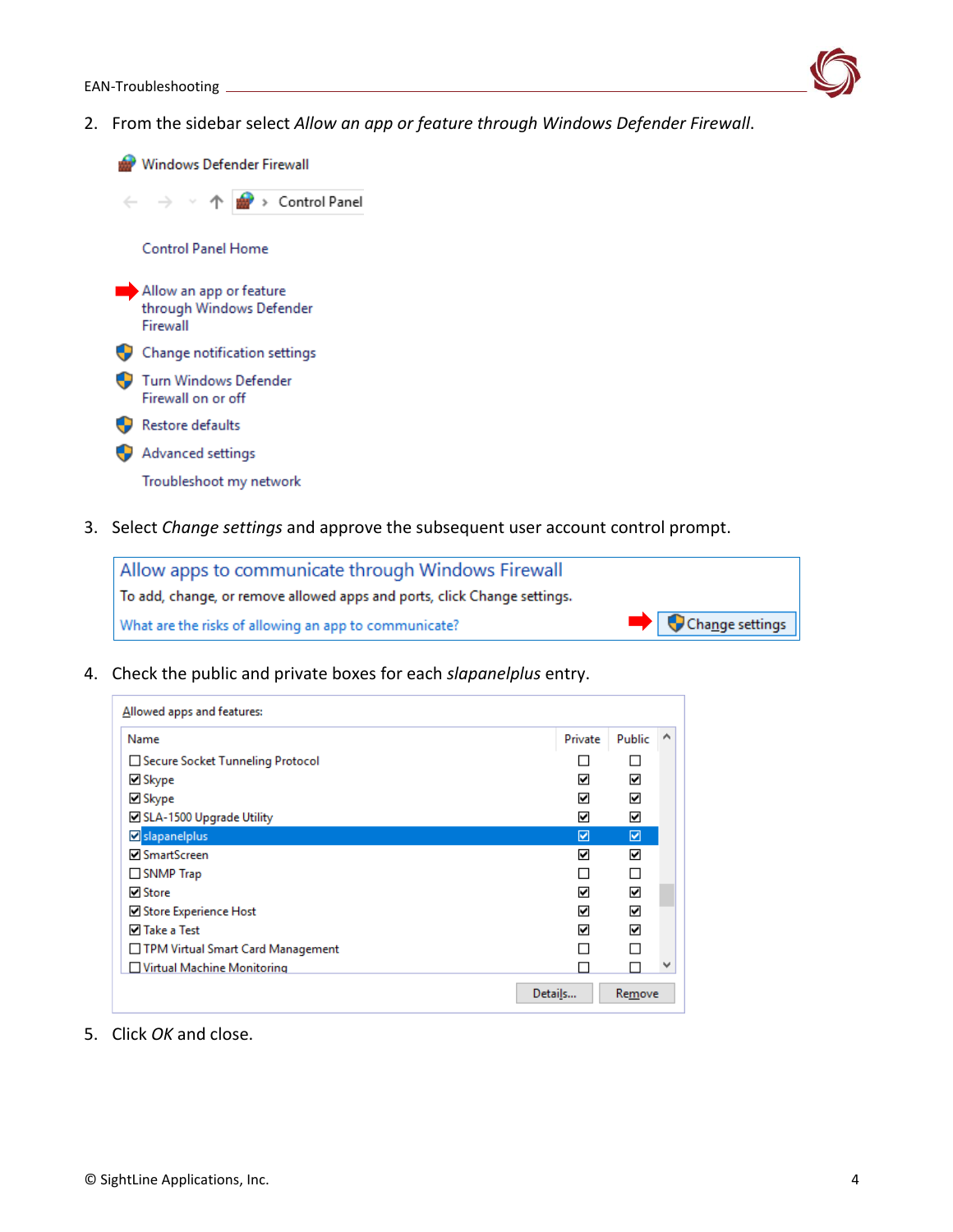

2. From the sidebar select *Allow an app or feature through Windows Defender Firewall*.

Windows Defender Firewall > Control Panel  $\leftarrow$  $\rightarrow$ 个 **Control Panel Home** Allow an app or feature through Windows Defender Firewall Change notification settings Turn Windows Defender Firewall on or off Restore defaults Advanced settings Troubleshoot my network

3. Select *Change settings* and approve the subsequent user account control prompt.

| Allow apps to communicate through Windows Firewall                       |                 |
|--------------------------------------------------------------------------|-----------------|
| To add, change, or remove allowed apps and ports, click Change settings. |                 |
| What are the risks of allowing an app to communicate?                    | Change settings |

4. Check the public and private boxes for each *slapanelplus* entry.

| Allowed apps and features:        |         |        |   |
|-----------------------------------|---------|--------|---|
| Name                              | Private | Public | A |
| Secure Socket Tunneling Protocol  |         |        |   |
| ⊠ Skype                           | 罓       | 罓      |   |
| $\boxdot$ Skype                   | ☑       | ☑      |   |
| SLA-1500 Upgrade Utility          | ☑       | ☑      |   |
| Slapanelplus                      | ☑       | ☑      |   |
| <b>□</b> SmartScreen              | ☑       | 罓      |   |
| SNMP Trap                         |         | П      |   |
| <b>☑</b> Store                    | ☑       | 罓      |   |
| Store Experience Host             | ☑       | ☑      |   |
| <b>⊽</b> Take a Test              | ☑       | ☑      |   |
| TPM Virtual Smart Card Management |         |        |   |
| Virtual Machine Monitoring        |         |        | v |
|                                   | Details | Remove |   |

5. Click *OK* and close.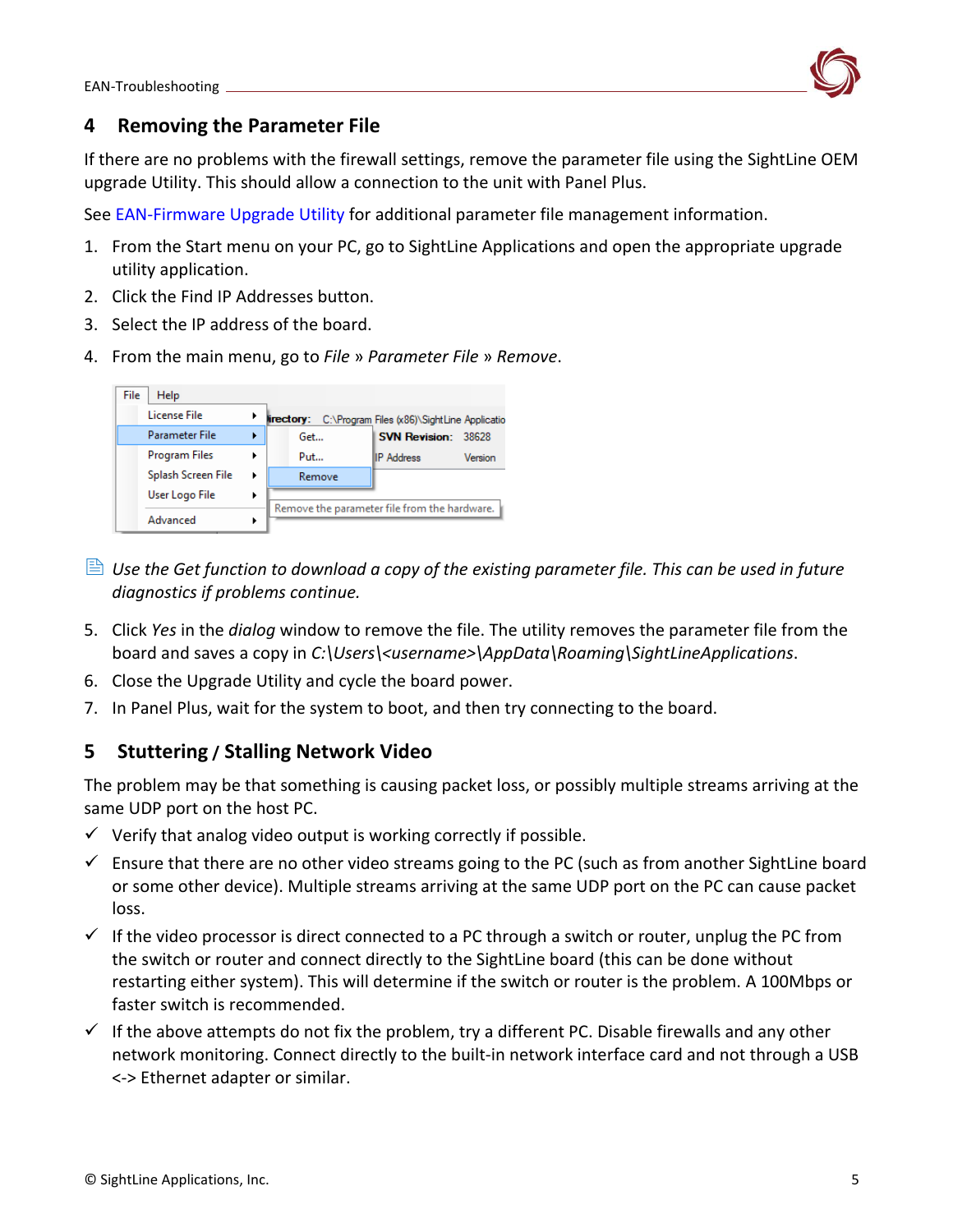

### <span id="page-5-0"></span>**4 Removing the Parameter File**

If there are no problems with the firewall settings, remove the parameter file using the SightLine OEM upgrade Utility. This should allow a connection to the unit with Panel Plus.

See [EAN-Firmware Upgrade Utility](http://sightlineapplications.com/wp-content/uploads/EAN-Firmware-Upgrade-Utility.pdf) for additional parameter file management information.

- 1. From the Start menu on your PC, go to SightLine Applications and open the appropriate upgrade utility application.
- 2. Click the Find IP Addresses button.
- 3. Select the IP address of the board.
- 4. From the main menu, go to *File* » *Parameter File* » *Remove*.



- **E** Use the Get function to download a copy of the existing parameter file. This can be used in future *diagnostics if problems continue.*
- 5. Click *Yes* in the *dialog* window to remove the file. The utility removes the parameter file from the board and saves a copy in *C:\Users\<username>\AppData\Roaming\SightLineApplications.*
- 6. Close the Upgrade Utility and cycle the board power.
- 7. In Panel Plus, wait for the system to boot, and then try connecting to the board.

### <span id="page-5-1"></span>**5 Stuttering / Stalling Network Video**

The problem may be that something is causing packet loss, or possibly multiple streams arriving at the same UDP port on the host PC.

- $\checkmark$  Verify that analog video output is working correctly if possible.
- $\checkmark$  Ensure that there are no other video streams going to the PC (such as from another SightLine board or some other device). Multiple streams arriving at the same UDP port on the PC can cause packet loss.
- $\checkmark$  If the video processor is direct connected to a PC through a switch or router, unplug the PC from the switch or router and connect directly to the SightLine board (this can be done without restarting either system). This will determine if the switch or router is the problem. A 100Mbps or faster switch is recommended.
- $\checkmark$  If the above attempts do not fix the problem, try a different PC. Disable firewalls and any other network monitoring. Connect directly to the built-in network interface card and not through a USB <-> Ethernet adapter or similar.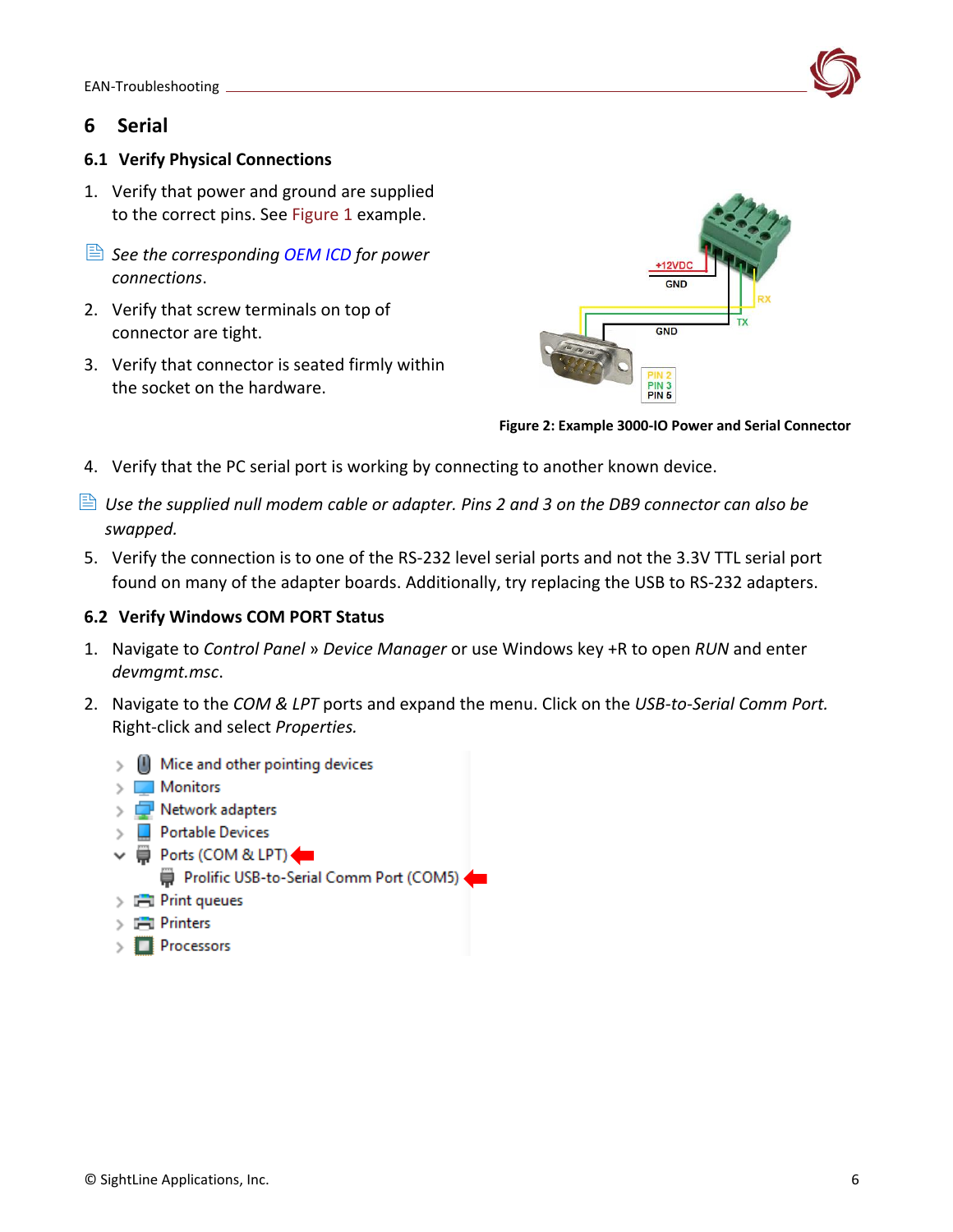### <span id="page-6-0"></span>**6 Serial**

#### <span id="page-6-1"></span>**6.1 Verify Physical Connections**

- 1. Verify that power and ground are supplied to the correct pins. See Figure 1 example.
- *See the corresponding [OEM ICD](https://sightlineapplications.com/documentation/) for power connections*.
- 2. Verify that screw terminals on top of connector are tight.
- 3. Verify that connector is seated firmly within the socket on the hardware.



**Figure 2: Example 3000-IO Power and Serial Connector**

- 4. Verify that the PC serial port is working by connecting to another known device.
- *Use the supplied null modem cable or adapter. Pins 2 and 3 on the DB9 connector can also be swapped.*
- 5. Verify the connection is to one of the RS-232 level serial ports and not the 3.3V TTL serial port found on many of the adapter boards. Additionally, try replacing the USB to RS-232 adapters.

#### <span id="page-6-2"></span>**6.2 Verify Windows COM PORT Status**

- 1. Navigate to *Control Panel* » *Device Manager* or use Windows key +R to open *RUN* and enter *devmgmt.msc*.
- 2. Navigate to the *COM & LPT* ports and expand the menu. Click on the *USB-to-Serial Comm Port.* Right-click and select *Properties.*
	- $\mathcal{P} \subseteq \mathbb{N}$  Mice and other pointing devices
	- $\angle$  Monitors
	- $\triangleright$   $\blacksquare$  Network adapters
	- $\triangleright$  Portable Devices
	- ↓ Dorts (COM & LPT)
		- Prolific USB-to-Serial Comm Port (COM5)
	- $\sum$  Print queues
	- $\sum$   $\blacksquare$  Printers
	- $\angle$  Processors

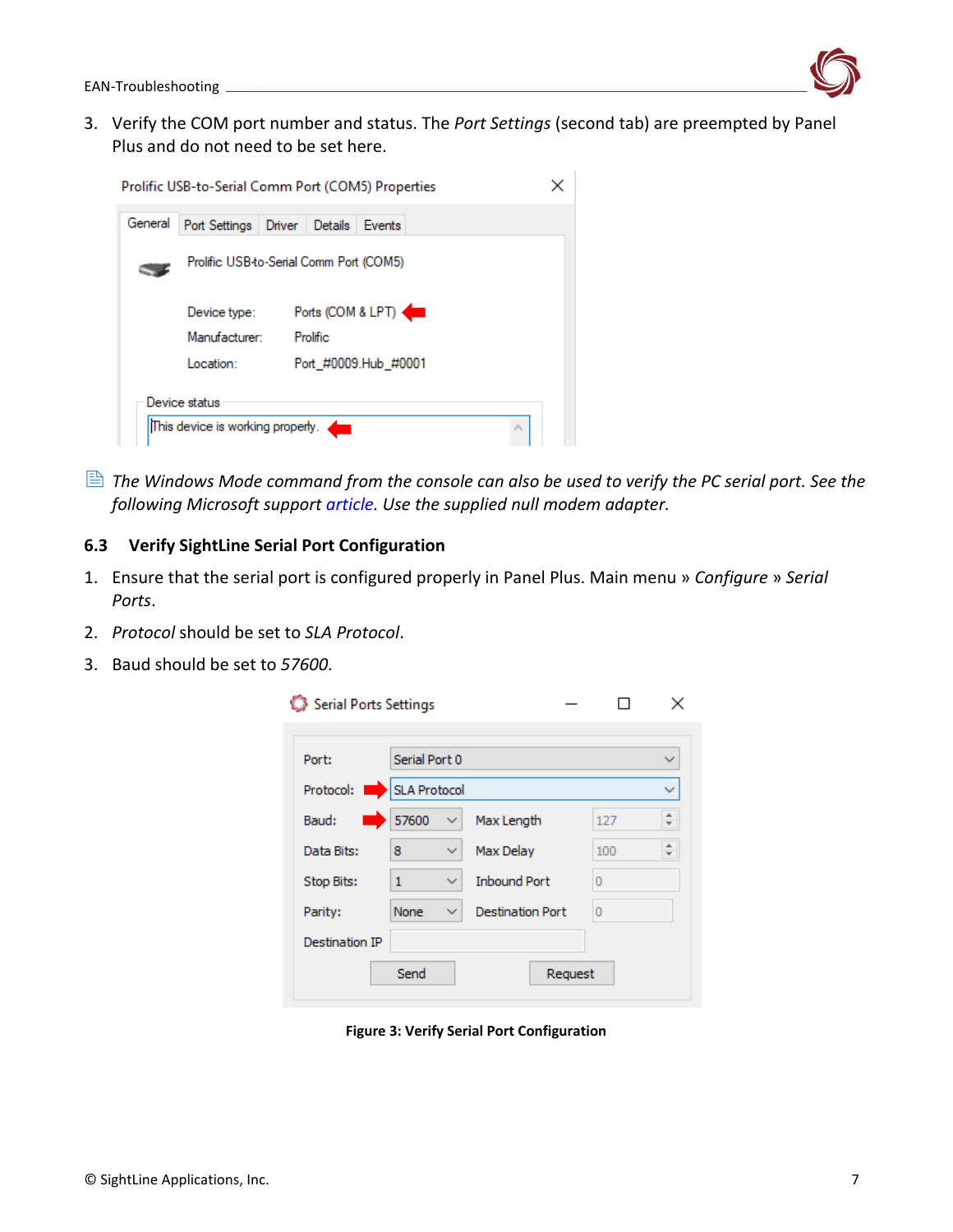

3. Verify the COM port number and status. The *Port Settings* (second tab) are preempted by Panel Plus and do not need to be set here.

| Prolific USB-to-Serial Comm Port (COM5) Properties |                                                   |                             |                           |  |  |  |  |
|----------------------------------------------------|---------------------------------------------------|-----------------------------|---------------------------|--|--|--|--|
| General                                            | Port Settings                                     | Driver<br>Details<br>Events |                           |  |  |  |  |
| Prolific USB-to-Serial Comm Port (COM5)            |                                                   |                             |                           |  |  |  |  |
|                                                    | Device type:                                      | Ports (COM & LPT)           |                           |  |  |  |  |
|                                                    | Manufacturer:<br>Prolific                         |                             |                           |  |  |  |  |
|                                                    | Port #0009.Hub #0001<br>Location:                 |                             |                           |  |  |  |  |
|                                                    | Device status<br>This device is working properly. | 43                          | $\mathcal{O}_\mathcal{R}$ |  |  |  |  |
|                                                    |                                                   |                             |                           |  |  |  |  |

 *The Windows Mode command from the console can also be used to verify the PC serial port. See the following Microsoft support [article.](https://docs.microsoft.com/en-us/windows-server/administration/windows-commands/mode) Use the supplied null modem adapter.*

### <span id="page-7-0"></span>**6.3 Verify SightLine Serial Port Configuration**

- 1. Ensure that the serial port is configured properly in Panel Plus. Main menu » *Configure* » *Serial Ports*.
- 2. *Protocol* should be set to *SLA Protocol*.
- 3. Baud should be set to *57600*.

| Serial Ports Settings |               |              |                         |     |              |  |  |
|-----------------------|---------------|--------------|-------------------------|-----|--------------|--|--|
|                       |               |              |                         |     |              |  |  |
| Port:                 | Serial Port 0 |              |                         |     | $\checkmark$ |  |  |
| Protocol:             | SLA Protocol  |              |                         |     | $\checkmark$ |  |  |
| Baud:                 | 57600         | ✓            | Max Length              | 127 | ÷.           |  |  |
| Data Bits:            | 8             | $\checkmark$ | Max Delay               | 100 | ÷            |  |  |
| <b>Stop Bits:</b>     | 1             | $\checkmark$ | <b>Inbound Port</b>     | 0   |              |  |  |
| Parity:               | None          | ✓            | <b>Destination Port</b> | 0   |              |  |  |
| Destination IP        |               |              |                         |     |              |  |  |
|                       | Send          |              | Request                 |     |              |  |  |
|                       |               |              |                         |     |              |  |  |

**Figure 3: Verify Serial Port Configuration**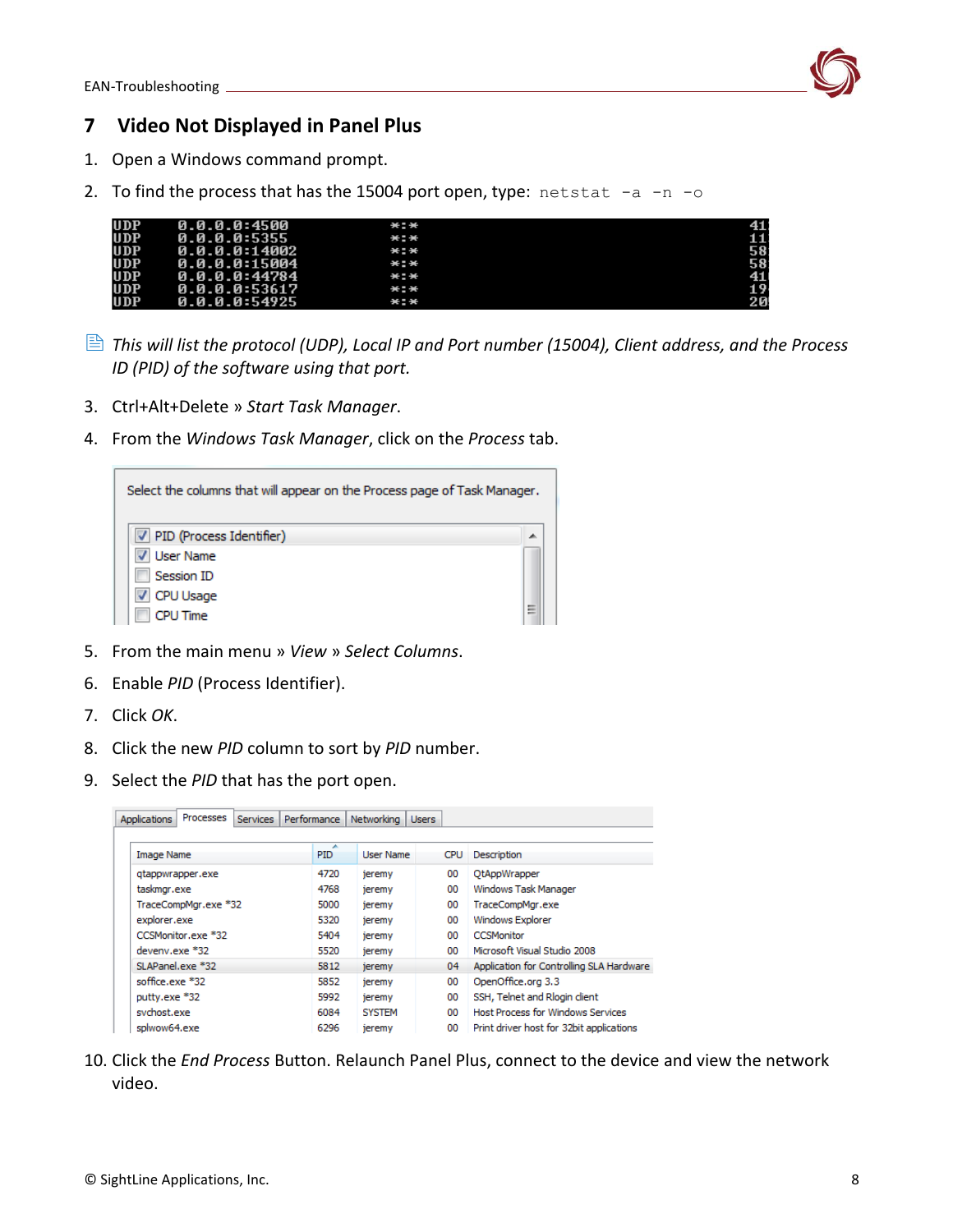

## <span id="page-8-0"></span>**7 Video Not Displayed in Panel Plus**

- 1. Open a Windows command prompt.
- 2. To find the process that has the 15004 port open, type:  $netstat -a -n -o$

| <b>UDP</b> | 0.0.0.0:4500  | *:* | 41:             |
|------------|---------------|-----|-----------------|
| <b>UDP</b> | 0.0.0.0:5355  | *:* | 11              |
| <b>UDP</b> | 0.0.0.0:14002 | *:* | 58              |
| <b>UDP</b> | 0.0.0.0:15004 | *:* | 58              |
| <b>UDP</b> | 0.0.0.0:44784 | *:* | 41              |
| <b>UDP</b> | 0.0.0.0:53617 | *:* | 19 <sub>1</sub> |
| <b>UDP</b> | 0.0.0.0:54925 | *:* | 20              |

- *This will list the protocol (UDP), Local IP and Port number (15004), Client address, and the Process ID (PID) of the software using that port.*
- 3. Ctrl+Alt+Delete » *Start Task Manager*.
- 4. From the *Windows Task Manager*, click on the *Process* tab.

| Select the columns that will appear on the Process page of Task Manager.              |   |
|---------------------------------------------------------------------------------------|---|
| V PID (Process Identifier)<br>User Name<br>Session ID<br>CPU Usage<br><b>CPU Time</b> | н |

- 5. From the main menu » *View* » *Select Columns*.
- 6. Enable *PID* (Process Identifier).
- 7. Click *OK*.
- 8. Click the new *PID* column to sort by *PID* number.
- 9. Select the *PID* that has the port open.

|              | <b>Applications</b> | Processes            | <b>Services</b> |        | Performance     | Networking       | <b>Users</b>      |      |                                          |
|--------------|---------------------|----------------------|-----------------|--------|-----------------|------------------|-------------------|------|------------------------------------------|
|              |                     |                      |                 |        |                 |                  |                   |      |                                          |
|              | <b>Image Name</b>   |                      |                 |        | ۰<br><b>PID</b> | User Name        |                   | CPU. | Description                              |
|              |                     | gtappwrapper.exe     |                 |        | 4720            | jeremy           |                   | 00   | OtAppWrapper                             |
|              | taskmgr.exe         |                      |                 |        | 4768            | jeremy           |                   | 00   | Windows Task Manager                     |
|              |                     | TraceCompMgr.exe *32 |                 |        | 5000            | jeremy           |                   | 00   | TraceCompMgr.exe                         |
| explorer.exe |                     | 5320                 | jeremy          |        | 00              | Windows Explorer |                   |      |                                          |
|              | CCSMonitor.exe *32  |                      | 5404            | jeremy |                 | 00               | <b>CCSMonitor</b> |      |                                          |
|              | $d$ eveny.exe $*32$ |                      |                 |        | 5520            | jeremy           |                   | 00   | Microsoft Visual Studio 2008             |
|              | SLAPanel.exe *32    |                      |                 |        | 5812            | jeremy           |                   | 04   | Application for Controlling SLA Hardware |
|              | soffice.exe *32     |                      |                 |        | 5852            | jeremy           |                   | 00   | OpenOffice.org 3.3                       |
|              | putty.exe *32       |                      |                 |        | 5992            | jeremy           |                   | 00   | SSH, Telnet and Rlogin client            |
|              | svchost.exe         |                      |                 |        | 6084            | <b>SYSTEM</b>    |                   | 00   | <b>Host Process for Windows Services</b> |
|              | splwow64.exe        |                      |                 |        | 6296            | jeremy           |                   | 00   | Print driver host for 32bit applications |

10. Click the *End Process* Button. Relaunch Panel Plus, connect to the device and view the network video.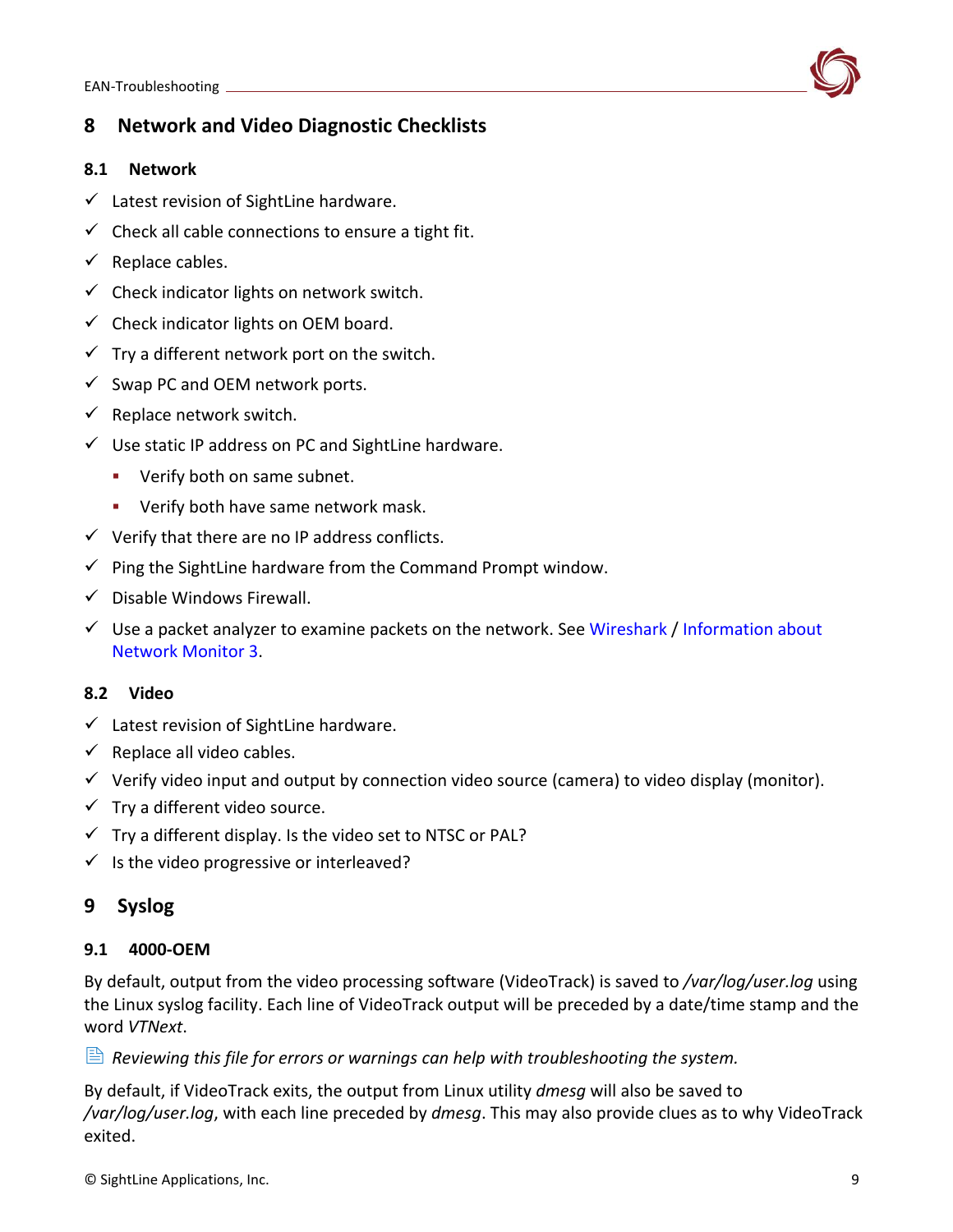<span id="page-9-0"></span>

#### <span id="page-9-1"></span>**8.1 Network**

- $\checkmark$  Latest revision of SightLine hardware.
- $\checkmark$  Check all cable connections to ensure a tight fit.
- $\checkmark$  Replace cables.
- $\checkmark$  Check indicator lights on network switch.
- $\checkmark$  Check indicator lights on OEM board.
- $\checkmark$  Try a different network port on the switch.
- $\checkmark$  Swap PC and OEM network ports.
- $\checkmark$  Replace network switch.
- ✓ Use static IP address on PC and SightLine hardware.
	- **•** Verify both on same subnet.
	- **E** Verify both have same network mask.
- $\checkmark$  Verify that there are no IP address conflicts.
- $\checkmark$  Ping the SightLine hardware from the Command Prompt window.
- $\checkmark$  Disable Windows Firewall.
- $\checkmark$  Use a packet analyzer to examine packets on the network. See [Wireshark](https://www.wireshark.org/) / Information about [Network Monitor 3.](https://docs.microsoft.com/en-US/troubleshoot/windows-server/networking/network-monitor-3)

#### <span id="page-9-2"></span>**8.2 Video**

- $\checkmark$  Latest revision of SightLine hardware.
- $\checkmark$  Replace all video cables.
- $\checkmark$  Verify video input and output by connection video source (camera) to video display (monitor).
- $\checkmark$  Try a different video source.
- $\checkmark$  Try a different display. Is the video set to NTSC or PAL?
- $\checkmark$  Is the video progressive or interleaved?

### <span id="page-9-3"></span>**9 Syslog**

#### <span id="page-9-4"></span>**9.1 4000-OEM**

By default, output from the video processing software (VideoTrack) is saved to */var/log/user.log* using the Linux syslog facility. Each line of VideoTrack output will be preceded by a date/time stamp and the word *VTNext*.

*Reviewing this file for errors or warnings can help with troubleshooting the system.*

By default, if VideoTrack exits, the output from Linux utility *dmesg* will also be saved to */var/log/user.log*, with each line preceded by *dmesg*. This may also provide clues as to why VideoTrack exited.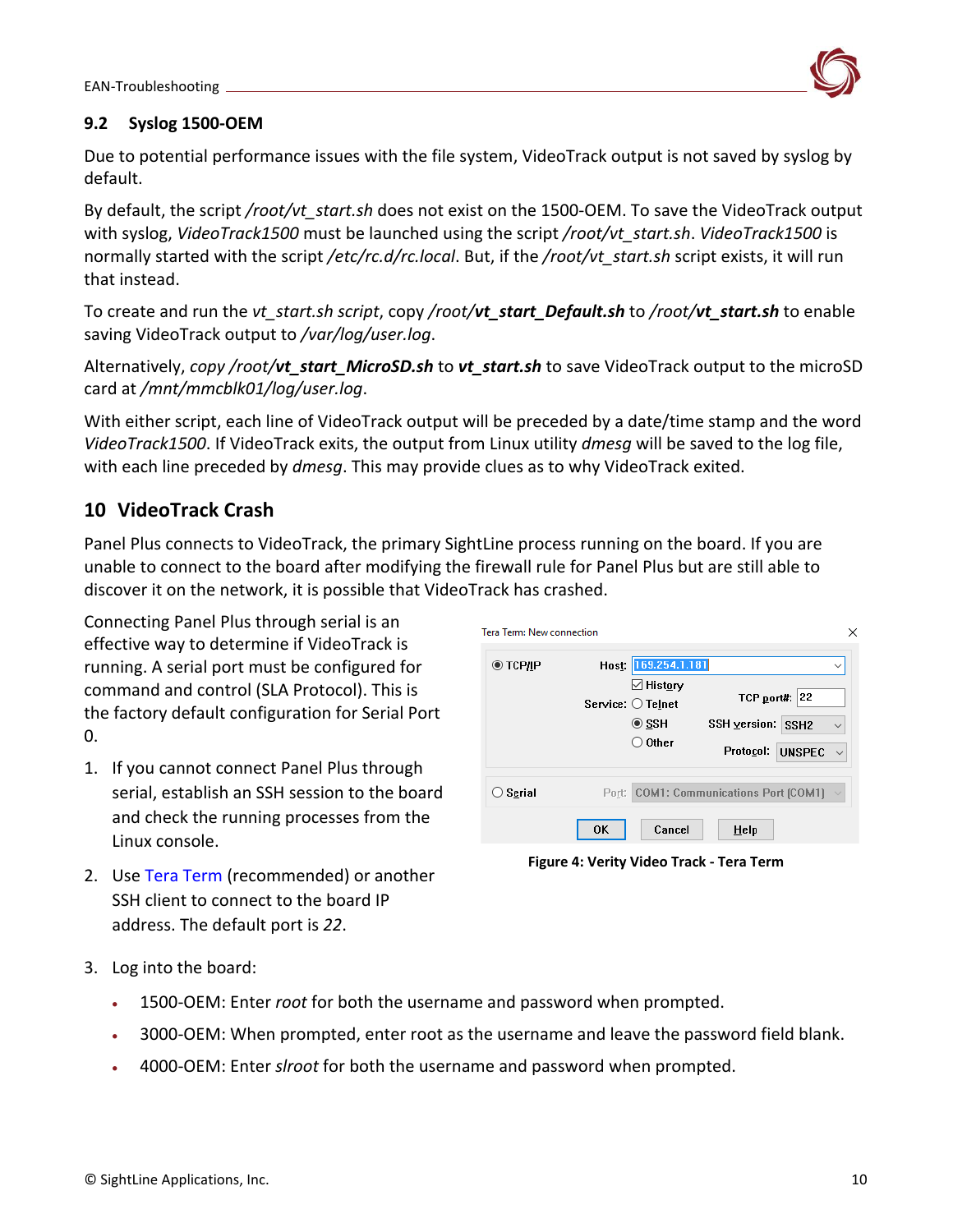

### <span id="page-10-0"></span>**9.2 Syslog 1500-OEM**

Due to potential performance issues with the file system, VideoTrack output is not saved by syslog by default.

By default, the script */root/vt\_start.sh* does not exist on the 1500-OEM. To save the VideoTrack output with syslog, *VideoTrack1500* must be launched using the script */root/vt\_start.sh*. *VideoTrack1500* is normally started with the script */etc/rc.d/rc.local*. But, if the */root/vt\_start.sh* script exists, it will run that instead.

To create and run the *vt\_start.sh script*, copy */root/vt\_start\_Default.sh* to */root/vt\_start.sh* to enable saving VideoTrack output to */var/log/user.log*.

Alternatively, *copy /root/vt\_start\_MicroSD.sh* to *vt\_start.sh* to save VideoTrack output to the microSD card at */mnt/mmcblk01/log/user.log*.

With either script, each line of VideoTrack output will be preceded by a date/time stamp and the word *VideoTrack1500*. If VideoTrack exits, the output from Linux utility *dmesg* will be saved to the log file, with each line preceded by *dmesg*. This may provide clues as to why VideoTrack exited.

# <span id="page-10-1"></span>**10 VideoTrack Crash**

Panel Plus connects to VideoTrack, the primary SightLine process running on the board. If you are unable to connect to the board after modifying the firewall rule for Panel Plus but are still able to discover it on the network, it is possible that VideoTrack has crashed.

Connecting Panel Plus through serial is an effective way to determine if VideoTrack is running. A serial port must be configured for command and control (SLA Protocol). This is the factory default configuration for Serial Port  $0.$ 

1. If you cannot connect Panel Plus through serial, establish an SSH session to the board and check the running processes from the Linux console.

| Tera Term: New connection |                                                                                                          | ×                                                                                                         |
|---------------------------|----------------------------------------------------------------------------------------------------------|-----------------------------------------------------------------------------------------------------------|
| ◉ тсрдр                   | Host 169.254.1.181<br>$\boxdot$ History<br>Service: $\bigcirc$ Telnet<br>$\circ$ ssh<br>$\bigcirc$ Other | $\checkmark$<br>22<br>TCP port#:<br>SSH version: SSH2<br>$\checkmark$<br>Protocol: UNSPEC<br>$\checkmark$ |
| Serial                    | Cancel<br><b>OK</b>                                                                                      | Port: COM1: Communications Port (COM1)<br>Help                                                            |

**Figure 4: Verity Video Track - Tera Term**

- 2. Use [Tera Term](https://ttssh2.osdn.jp/index.html.en) (recommended) or another SSH client to connect to the board IP address. The default port is *22*.
- 3. Log into the board:
	- 1500-OEM: Enter *root* for both the username and password when prompted.
	- 3000-OEM: When prompted, enter root as the username and leave the password field blank.
	- 4000-OEM: Enter *slroot* for both the username and password when prompted.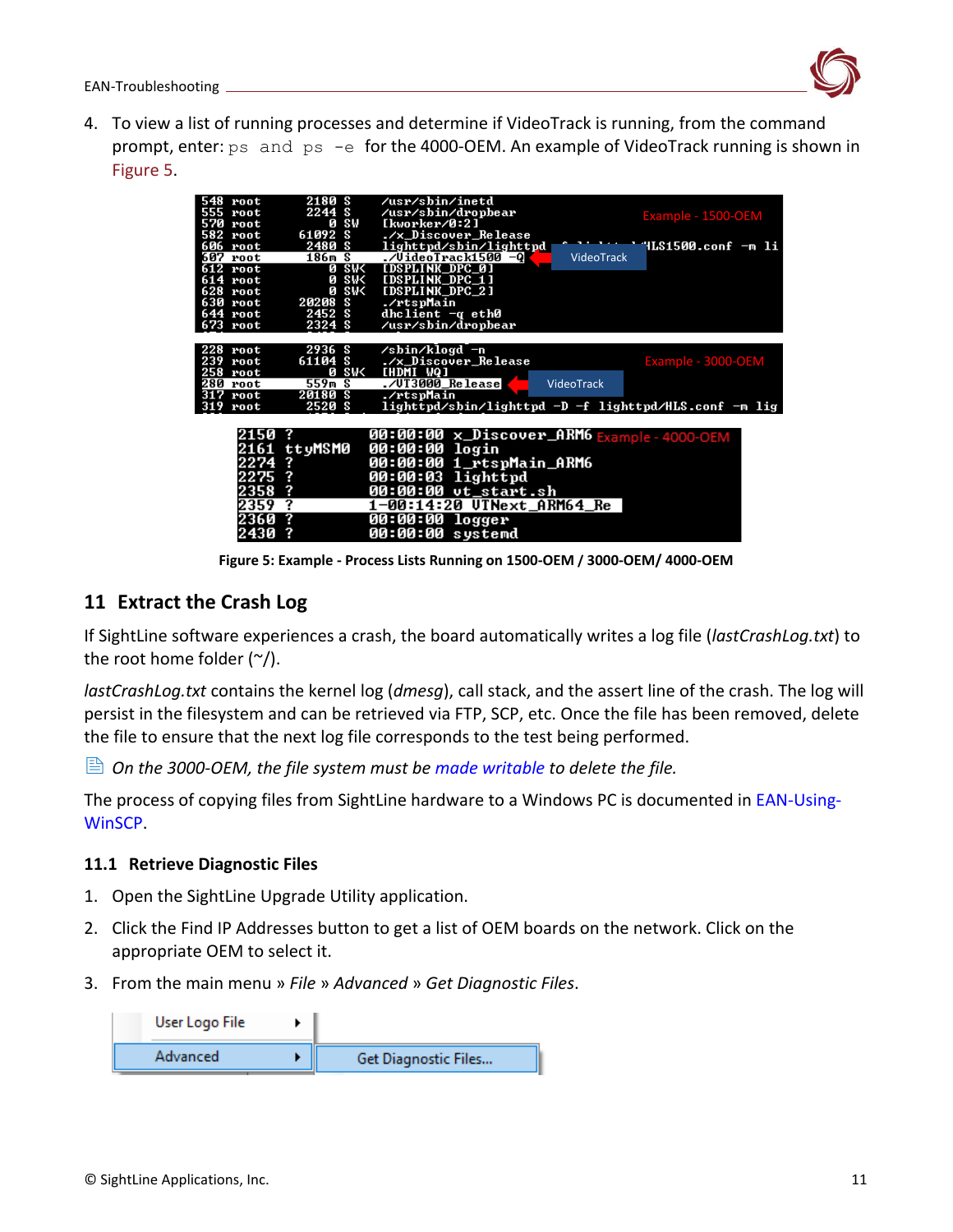

4. To view a list of running processes and determine if VideoTrack is running, from the command prompt, enter: ps and ps -e for the 4000-OEM. An example of VideoTrack running is shown in Figure 5.

| 548 root   | 2180 S       | /usr/sbin/inetd                                       |
|------------|--------------|-------------------------------------------------------|
| 555 root   | 2244 S       | /usr/sbin/dropbear<br>Example - 1500-OEM              |
| 570 root   | sw<br>ø      | [kworker/0:2]                                         |
| 582 root   | 61092 S      | ./x_Discover_Release                                  |
| 606 root   | 2480 S       | "ILS1500.conf −m li<br>lighttpd/sbin/lighttpd         |
| 607 root   | 186m S       | ./VideoTrack1500 -Q<br>VideoTrack                     |
| $612$ root | <b>0 SWK</b> | [DSPLINK_DPC_0]                                       |
| 614 root   | 0 SW<        | [DSPLINK_DPC_1]                                       |
| 628 root   | <b>0 SWK</b> | [DSPLINK_DPC_2]                                       |
| 630 root   | 20208 S      | ./rtspMain                                            |
| 644 root   | 2452S        | dhclient $-q$ eth $\theta$                            |
| 673 root   | 2324 S       | /usr/sbin/dropbear                                    |
|            |              |                                                       |
| 228 root   | 2936 S       | /sbin/klogd -n                                        |
| 239 root   | 61104 S      | ./x_Discover_Release<br>Example - 3000-OEM            |
| $258$ root | 0 SW<        | <b>CHDMI WQJ</b>                                      |
| 280 root   | 559m S       | ./UT3000_Release<br>VideoTrack                        |
| $317$ root | 20180 S      | ./rtspMain                                            |
| $319$ root | 2520 S       | lighttpd/sbin/lighttpd -D -f lighttpd/HLS.conf -m lig |
|            |              |                                                       |
|            |              |                                                       |
| 2150       | - ?          | 00:00:00 x_Discover_ARM6 Example-4000-OEM             |
|            | 2161 ttyMSM0 | 00:00:00 login                                        |
| 2274       | ?            | 00:00:00 1_rtspMain_ARM6                              |
| 2275       | ?            | 00:00:03 lighttpd                                     |
|            |              |                                                       |
| 2358       | ?            | 00:00:00 vt_start.sh                                  |
| 2359       | ?            | 1-00:14:20 UTNext_ARM64 Re                            |
| 2360       | 2            | 00:00:00<br>logger                                    |
| 2430       |              | 00:00:00 systemd                                      |
|            |              |                                                       |

**Figure 5: Example - Process Lists Running on 1500-OEM / 3000-OEM/ 4000-OEM**

# <span id="page-11-0"></span>**11 Extract the Crash Log**

If SightLine software experiences a crash, the board automatically writes a log file (*lastCrashLog.txt*) to the root home folder  $(\gamma)$ .

*lastCrashLog.txt* contains the kernel log (*dmesg*), call stack, and the assert line of the crash. The log will persist in the filesystem and can be retrieved via FTP, SCP, etc. Once the file has been removed, delete the file to ensure that the next log file corresponds to the test being performed.

*On the 3000-OEM, the file system must be [made writable](https://sightlineapplications.com/wp-content/uploads/EAN-Using-WinSCP.pdf#page=6) to delete the file.*

The process of copying files from SightLine hardware to a Windows PC is documented in [EAN-Using-](http://sightlineapplications.com/wp-content/uploads/EAN-Using-WinSCP.pdf)[WinSCP.](http://sightlineapplications.com/wp-content/uploads/EAN-Using-WinSCP.pdf)

### <span id="page-11-1"></span>**11.1 Retrieve Diagnostic Files**

- 1. Open the SightLine Upgrade Utility application.
- 2. Click the Find IP Addresses button to get a list of OEM boards on the network. Click on the appropriate OEM to select it.
- 3. From the main menu » *File* » *Advanced* » *Get Diagnostic Files*.

| User Logo File |                      |
|----------------|----------------------|
| Advanced       | Get Diagnostic Files |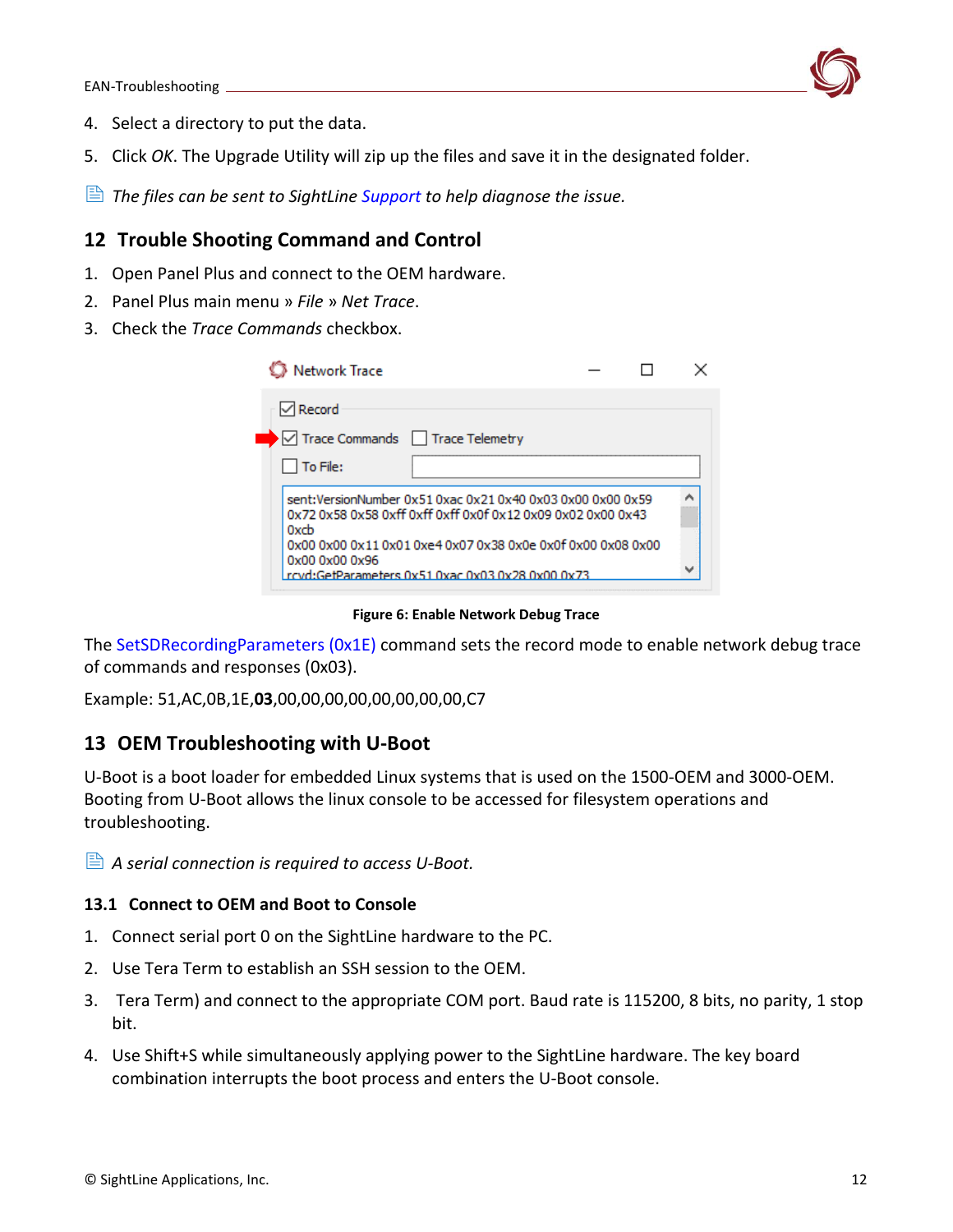

- 4. Select a directory to put the data.
- 5. Click *OK*. The Upgrade Utility will zip up the files and save it in the designated folder.
- <span id="page-12-0"></span>*The files can be sent to SightLine [Support](mailto:support@sightlineapplications.com) to help diagnose the issue.*

### **12 Trouble Shooting Command and Control**

- 1. Open Panel Plus and connect to the OEM hardware.
- 2. Panel Plus main menu » *File* » *Net Trace*.
- 3. Check the *Trace Commands* checkbox.

| Network Trace                                                                                                                     |  |  |  |  |
|-----------------------------------------------------------------------------------------------------------------------------------|--|--|--|--|
| $\sqrt{}$ Record                                                                                                                  |  |  |  |  |
| $\blacktriangleright$ $\blacktriangleright$ Trace Commands $\blacksquare$ Trace Telemetry                                         |  |  |  |  |
| To File:                                                                                                                          |  |  |  |  |
| sent:VersionNumber 0x51 0xac 0x21 0x40 0x03 0x00 0x00 0x59<br>0x72 0x58 0x58 0xff 0xff 0xff 0x0f 0x12 0x09 0x02 0x00 0x43<br>Oxch |  |  |  |  |
| 0x00 0x00 0x11 0x01 0xe4 0x07 0x38 0x0e 0x0f 0x00 0x08 0x00<br>0x00 0x00 0x96<br>rcyd:GetParameters 0x51 0xac 0x03 0x28 0x00 0x73 |  |  |  |  |

**Figure 6: Enable Network Debug Trace**

The [SetSDRecordingParameters \(0x1E\)](https://sightlineapplications.com/releases/IDD/current/struct_s_l_a_set_s_d_recording_parameters__t.html) command sets the record mode to enable network debug trace of commands and responses (0x03).

Example: 51,AC,0B,1E,**03**,00,00,00,00,00,00,00,00,C7

### <span id="page-12-1"></span>**13 OEM Troubleshooting with U-Boot**

U-Boot is a boot loader for embedded Linux systems that is used on the 1500-OEM and 3000-OEM. Booting from U-Boot allows the linux console to be accessed for filesystem operations and troubleshooting.

*A serial connection is required to access U-Boot.*

#### <span id="page-12-2"></span>**13.1 Connect to OEM and Boot to Console**

- 1. Connect serial port 0 on the SightLine hardware to the PC.
- 2. Use Tera Term to establish an SSH session to the OEM.
- 3. Tera Term) and connect to the appropriate COM port. Baud rate is 115200, 8 bits, no parity, 1 stop bit.
- 4. Use Shift+S while simultaneously applying power to the SightLine hardware. The key board combination interrupts the boot process and enters the U-Boot console.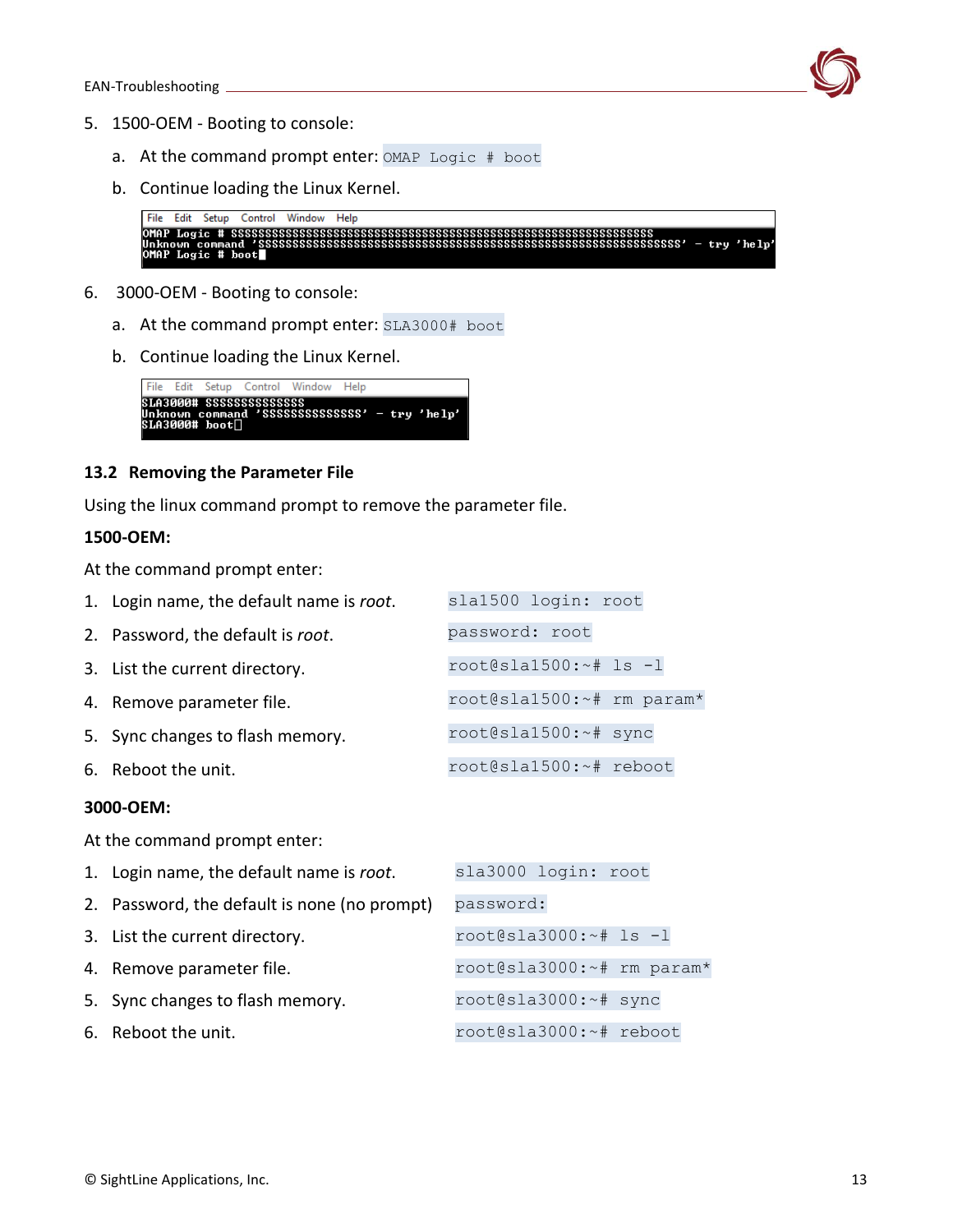

- 5. 1500-OEM Booting to console:
	- a. At the command prompt enter: OMAP Logic # boot
	- b. Continue loading the Linux Kernel.

```
File Edit Setup Control Window Help
OMAP Logic # SSSSSSSSSSSSSSSSSSSSSSSSSSSSSSSSSS<br>Unknown command 'SSSSSSSSSSSSSSSSSSSSSSSSSSSSSS<br>OMAP Logic # boot
```
- 6. 3000-OEM Booting to console:
	- a. At the command prompt enter: SLA3000# boot
	- b. Continue loading the Linux Kernel.



#### <span id="page-13-0"></span>**13.2 Removing the Parameter File**

Using the linux command prompt to remove the parameter file.

#### **1500-OEM:**

At the command prompt enter:

| 1. Login name, the default name is root. | sla1500 login: root       |  |
|------------------------------------------|---------------------------|--|
| 2. Password, the default is root.        | password: root            |  |
| 3. List the current directory.           | root@sla1500: $~+$ 1s -1  |  |
| 4. Remove parameter file.                | root@sla1500:~# rm param* |  |
| 5. Sync changes to flash memory.         | root@sla1500:~# sync      |  |
| 6. Reboot the unit.                      | root@sla1500:~# reboot    |  |
|                                          |                           |  |

#### **3000-OEM:**

At the command prompt enter:

| 1. Login name, the default name is root.     | sla3000 login: root       |
|----------------------------------------------|---------------------------|
| 2. Password, the default is none (no prompt) | password:                 |
| 3. List the current directory.               | root@sla3000:~# ls -1     |
| 4. Remove parameter file.                    | root@sla3000:~# rm param* |
| 5. Sync changes to flash memory.             | root@sla3000:~# sync      |
| 6. Reboot the unit.                          | root@sla3000:~# reboot    |